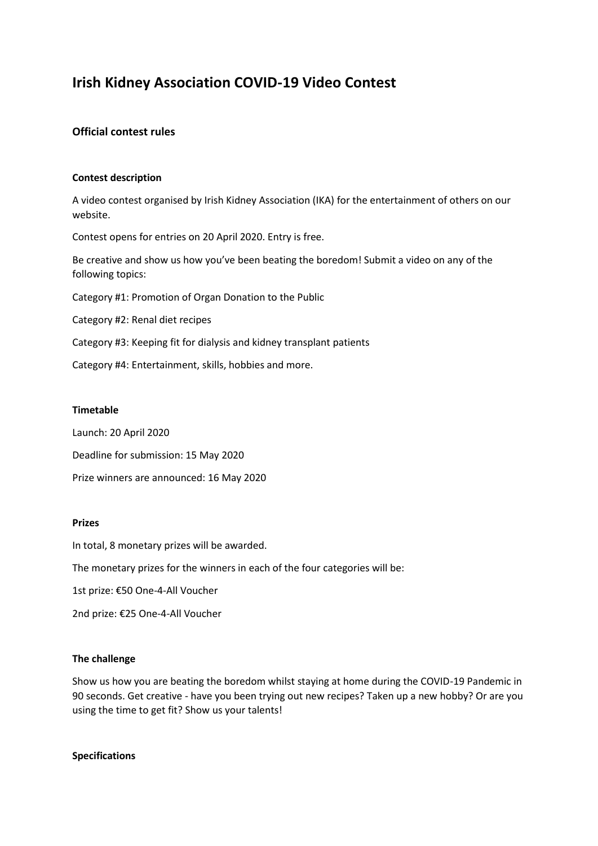# **Irish Kidney Association COVID-19 Video Contest**

## **Official contest rules**

### **Contest description**

A video contest organised by Irish Kidney Association (IKA) for the entertainment of others on our website.

Contest opens for entries on 20 April 2020. Entry is free.

Be creative and show us how you've been beating the boredom! Submit a video on any of the following topics:

Category #1: Promotion of Organ Donation to the Public

Category #2: Renal diet recipes

Category #3: Keeping fit for dialysis and kidney transplant patients

Category #4: Entertainment, skills, hobbies and more.

#### **Timetable**

Launch: 20 April 2020

Deadline for submission: 15 May 2020

Prize winners are announced: 16 May 2020

## **Prizes**

In total, 8 monetary prizes will be awarded.

The monetary prizes for the winners in each of the four categories will be:

1st prize: €50 One-4-All Voucher

2nd prize: €25 One-4-All Voucher

#### **The challenge**

Show us how you are beating the boredom whilst staying at home during the COVID-19 Pandemic in 90 seconds. Get creative - have you been trying out new recipes? Taken up a new hobby? Or are you using the time to get fit? Show us your talents!

#### **Specifications**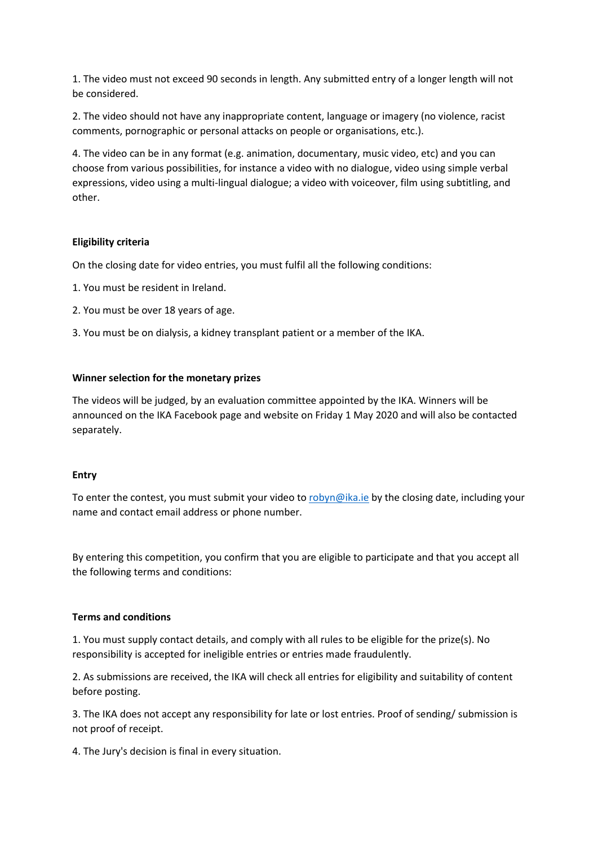1. The video must not exceed 90 seconds in length. Any submitted entry of a longer length will not be considered.

2. The video should not have any inappropriate content, language or imagery (no violence, racist comments, pornographic or personal attacks on people or organisations, etc.).

4. The video can be in any format (e.g. animation, documentary, music video, etc) and you can choose from various possibilities, for instance a video with no dialogue, video using simple verbal expressions, video using a multi-lingual dialogue; a video with voiceover, film using subtitling, and other.

## **Eligibility criteria**

On the closing date for video entries, you must fulfil all the following conditions:

- 1. You must be resident in Ireland.
- 2. You must be over 18 years of age.
- 3. You must be on dialysis, a kidney transplant patient or a member of the IKA.

## **Winner selection for the monetary prizes**

The videos will be judged, by an evaluation committee appointed by the IKA. Winners will be announced on the IKA Facebook page and website on Friday 1 May 2020 and will also be contacted separately.

## **Entry**

To enter the contest, you must submit your video t[o robyn@ika.ie](mailto:robyn@ika.ie) by the closing date, including your name and contact email address or phone number.

By entering this competition, you confirm that you are eligible to participate and that you accept all the following terms and conditions:

## **Terms and conditions**

1. You must supply contact details, and comply with all rules to be eligible for the prize(s). No responsibility is accepted for ineligible entries or entries made fraudulently.

2. As submissions are received, the IKA will check all entries for eligibility and suitability of content before posting.

3. The IKA does not accept any responsibility for late or lost entries. Proof of sending/ submission is not proof of receipt.

4. The Jury's decision is final in every situation.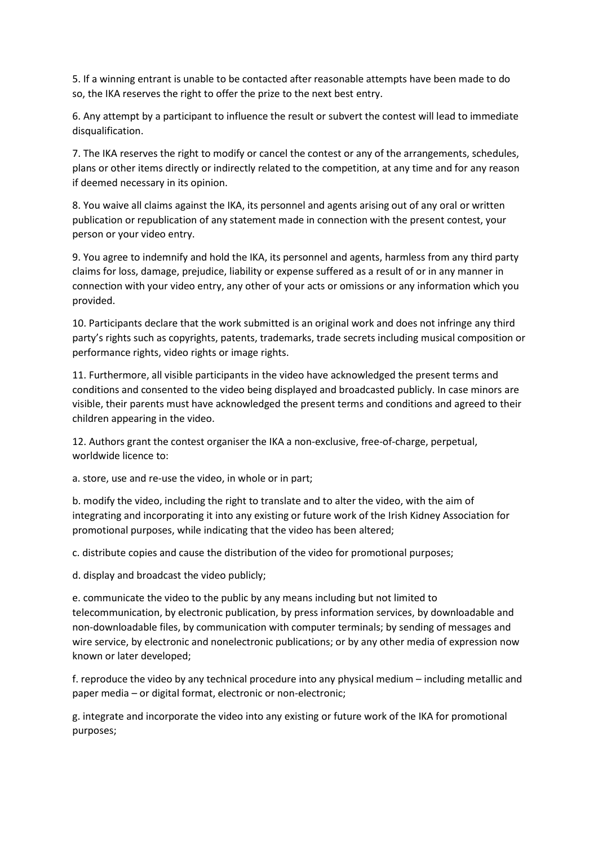5. If a winning entrant is unable to be contacted after reasonable attempts have been made to do so, the IKA reserves the right to offer the prize to the next best entry.

6. Any attempt by a participant to influence the result or subvert the contest will lead to immediate disqualification.

7. The IKA reserves the right to modify or cancel the contest or any of the arrangements, schedules, plans or other items directly or indirectly related to the competition, at any time and for any reason if deemed necessary in its opinion.

8. You waive all claims against the IKA, its personnel and agents arising out of any oral or written publication or republication of any statement made in connection with the present contest, your person or your video entry.

9. You agree to indemnify and hold the IKA, its personnel and agents, harmless from any third party claims for loss, damage, prejudice, liability or expense suffered as a result of or in any manner in connection with your video entry, any other of your acts or omissions or any information which you provided.

10. Participants declare that the work submitted is an original work and does not infringe any third party's rights such as copyrights, patents, trademarks, trade secrets including musical composition or performance rights, video rights or image rights.

11. Furthermore, all visible participants in the video have acknowledged the present terms and conditions and consented to the video being displayed and broadcasted publicly. In case minors are visible, their parents must have acknowledged the present terms and conditions and agreed to their children appearing in the video.

12. Authors grant the contest organiser the IKA a non-exclusive, free-of-charge, perpetual, worldwide licence to:

a. store, use and re-use the video, in whole or in part;

b. modify the video, including the right to translate and to alter the video, with the aim of integrating and incorporating it into any existing or future work of the Irish Kidney Association for promotional purposes, while indicating that the video has been altered;

c. distribute copies and cause the distribution of the video for promotional purposes;

d. display and broadcast the video publicly;

e. communicate the video to the public by any means including but not limited to telecommunication, by electronic publication, by press information services, by downloadable and non-downloadable files, by communication with computer terminals; by sending of messages and wire service, by electronic and nonelectronic publications; or by any other media of expression now known or later developed;

f. reproduce the video by any technical procedure into any physical medium – including metallic and paper media – or digital format, electronic or non-electronic;

g. integrate and incorporate the video into any existing or future work of the IKA for promotional purposes;